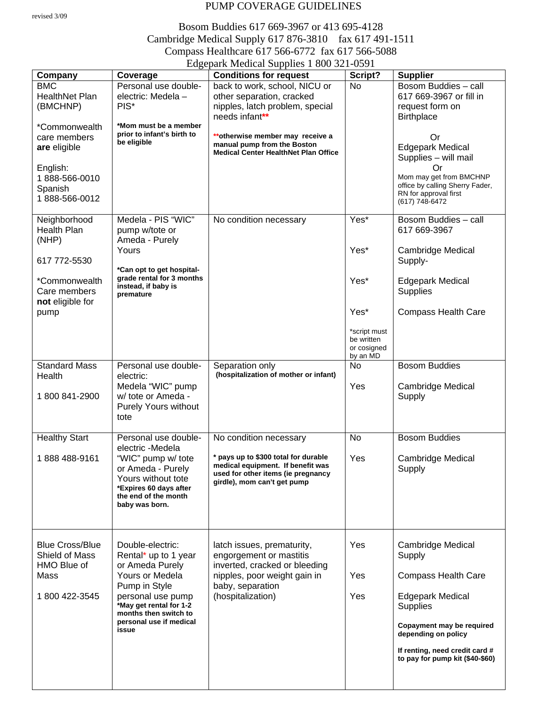#### revised 3/09

## PUMP COVERAGE GUIDELINES

# Bosom Buddies 617 669-3967 or 413 695-4128 Cambridge Medical Supply 617 876-3810 fax 617 491-1511 Compass Healthcare 617 566-6772 fax 617 566-5088

Edgepark Medical Supplies 1 800 321-0591

|                        |                                                     | $E$ agepark ivieureal supplies 1 600 321-0371                             |                            |                                                            |
|------------------------|-----------------------------------------------------|---------------------------------------------------------------------------|----------------------------|------------------------------------------------------------|
| Company                | Coverage                                            | <b>Conditions for request</b>                                             | Script?                    | <b>Supplier</b>                                            |
| <b>BMC</b>             | Personal use double-                                | back to work, school, NICU or                                             | <b>No</b>                  | Bosom Buddies - call                                       |
| <b>HealthNet Plan</b>  | electric: Medela -                                  | other separation, cracked                                                 |                            | 617 669-3967 or fill in                                    |
| (BMCHNP)               | PIS*                                                | nipples, latch problem, special                                           |                            | request form on                                            |
|                        |                                                     | needs infant**                                                            |                            | <b>Birthplace</b>                                          |
| *Commonwealth          | *Mom must be a member<br>prior to infant's birth to |                                                                           |                            |                                                            |
| care members           | be eligible                                         | ** otherwise member may receive a<br>manual pump from the Boston          |                            | Or                                                         |
| are eligible           |                                                     | <b>Medical Center HealthNet Plan Office</b>                               |                            | <b>Edgepark Medical</b>                                    |
|                        |                                                     |                                                                           |                            | Supplies - will mail                                       |
| English:               |                                                     |                                                                           |                            | Or                                                         |
| 1888-566-0010          |                                                     |                                                                           |                            | Mom may get from BMCHNP<br>office by calling Sherry Fader, |
| Spanish                |                                                     |                                                                           |                            | RN for approval first                                      |
| 1888-566-0012          |                                                     |                                                                           |                            | (617) 748-6472                                             |
|                        |                                                     |                                                                           |                            |                                                            |
| Neighborhood           | Medela - PIS "WIC"                                  | No condition necessary                                                    | Yes*                       | Bosom Buddies - call                                       |
| Health Plan            | pump w/tote or                                      |                                                                           |                            | 617 669-3967                                               |
| (NHP)                  | Ameda - Purely                                      |                                                                           |                            |                                                            |
|                        | Yours                                               |                                                                           | Yes*                       | <b>Cambridge Medical</b>                                   |
| 617 772-5530           |                                                     |                                                                           |                            | Supply-                                                    |
|                        | *Can opt to get hospital-                           |                                                                           |                            |                                                            |
| *Commonwealth          | grade rental for 3 months<br>instead, if baby is    |                                                                           | Yes*                       | <b>Edgepark Medical</b>                                    |
| Care members           | premature                                           |                                                                           |                            | <b>Supplies</b>                                            |
| not eligible for       |                                                     |                                                                           |                            |                                                            |
| pump                   |                                                     |                                                                           | Yes*                       | <b>Compass Health Care</b>                                 |
|                        |                                                     |                                                                           |                            |                                                            |
|                        |                                                     |                                                                           | *script must<br>be written |                                                            |
|                        |                                                     |                                                                           | or cosigned                |                                                            |
|                        |                                                     |                                                                           | by an MD                   |                                                            |
| <b>Standard Mass</b>   | Personal use double-                                | Separation only                                                           | <b>No</b>                  | <b>Bosom Buddies</b>                                       |
| Health                 | electric:                                           | (hospitalization of mother or infant)                                     |                            |                                                            |
|                        | Medela "WIC" pump                                   |                                                                           | Yes                        | <b>Cambridge Medical</b>                                   |
| 1800841-2900           | w/ tote or Ameda -                                  |                                                                           |                            | Supply                                                     |
|                        | Purely Yours without                                |                                                                           |                            |                                                            |
|                        | tote                                                |                                                                           |                            |                                                            |
|                        |                                                     |                                                                           |                            |                                                            |
| <b>Healthy Start</b>   | Personal use double-                                | No condition necessary                                                    | <b>No</b>                  | <b>Bosom Buddies</b>                                       |
|                        | electric -Medela                                    |                                                                           |                            |                                                            |
| 1888 488-9161          | "WIC" pump w/ tote                                  | * pays up to \$300 total for durable<br>medical equipment. If benefit was | Yes                        | <b>Cambridge Medical</b>                                   |
|                        | or Ameda - Purely                                   | used for other items (ie pregnancy                                        |                            | Supply                                                     |
|                        | Yours without tote                                  | girdle), mom can't get pump                                               |                            |                                                            |
|                        | *Expires 60 days after<br>the end of the month      |                                                                           |                            |                                                            |
|                        | baby was born.                                      |                                                                           |                            |                                                            |
|                        |                                                     |                                                                           |                            |                                                            |
|                        |                                                     |                                                                           |                            |                                                            |
|                        |                                                     |                                                                           |                            |                                                            |
| <b>Blue Cross/Blue</b> | Double-electric:                                    | latch issues, prematurity,                                                | Yes                        | <b>Cambridge Medical</b>                                   |
| Shield of Mass         | Rental* up to 1 year                                | engorgement or mastitis                                                   |                            | Supply                                                     |
| HMO Blue of            | or Ameda Purely                                     | inverted, cracked or bleeding                                             |                            |                                                            |
| Mass                   | Yours or Medela                                     | nipples, poor weight gain in                                              | Yes                        | <b>Compass Health Care</b>                                 |
|                        | Pump in Style                                       | baby, separation                                                          |                            |                                                            |
| 1800 422-3545          | personal use pump                                   | (hospitalization)                                                         | Yes                        | <b>Edgepark Medical</b>                                    |
|                        | *May get rental for 1-2                             |                                                                           |                            | <b>Supplies</b>                                            |
|                        | months then switch to<br>personal use if medical    |                                                                           |                            |                                                            |
|                        | issue                                               |                                                                           |                            | Copayment may be required                                  |
|                        |                                                     |                                                                           |                            | depending on policy                                        |
|                        |                                                     |                                                                           |                            | If renting, need credit card #                             |
|                        |                                                     |                                                                           |                            | to pay for pump kit (\$40-\$60)                            |
|                        |                                                     |                                                                           |                            |                                                            |
|                        |                                                     |                                                                           |                            |                                                            |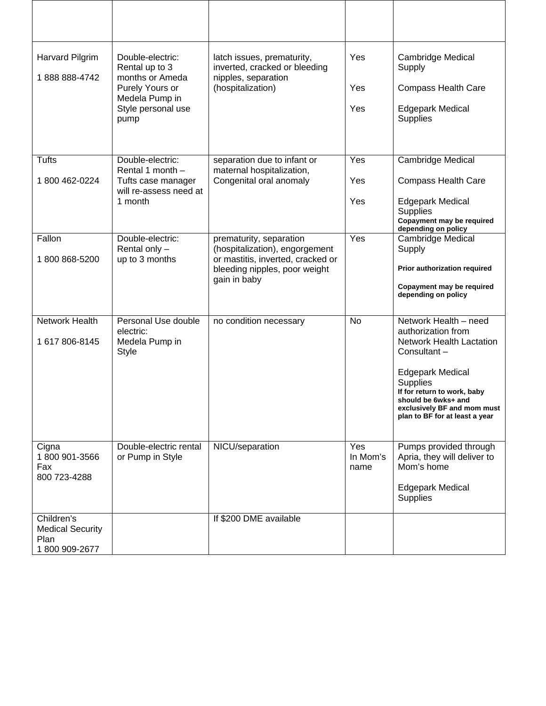| Harvard Pilgrim<br>1888 888-4742                              | Double-electric:<br>Rental up to 3<br>months or Ameda<br>Purely Yours or<br>Medela Pump in<br>Style personal use<br>pump | latch issues, prematurity,<br>inverted, cracked or bleeding<br>nipples, separation<br>(hospitalization) | Yes                     | <b>Cambridge Medical</b><br>Supply                                                                                                                                                                                                                                 |
|---------------------------------------------------------------|--------------------------------------------------------------------------------------------------------------------------|---------------------------------------------------------------------------------------------------------|-------------------------|--------------------------------------------------------------------------------------------------------------------------------------------------------------------------------------------------------------------------------------------------------------------|
|                                                               |                                                                                                                          |                                                                                                         | Yes                     | <b>Compass Health Care</b>                                                                                                                                                                                                                                         |
|                                                               |                                                                                                                          |                                                                                                         | Yes                     | <b>Edgepark Medical</b><br><b>Supplies</b>                                                                                                                                                                                                                         |
| <b>Tufts</b>                                                  | Double-electric:<br>Rental 1 month -                                                                                     | separation due to infant or<br>maternal hospitalization,                                                | Yes                     | Cambridge Medical                                                                                                                                                                                                                                                  |
| 1800 462-0224                                                 | Tufts case manager<br>will re-assess need at<br>1 month                                                                  | Congenital oral anomaly                                                                                 | Yes                     | <b>Compass Health Care</b>                                                                                                                                                                                                                                         |
|                                                               |                                                                                                                          |                                                                                                         | Yes                     | <b>Edgepark Medical</b><br><b>Supplies</b><br>Copayment may be required<br>depending on policy                                                                                                                                                                     |
| Fallon                                                        | Double-electric:<br>Rental only -                                                                                        | prematurity, separation<br>(hospitalization), engorgement                                               | Yes                     | Cambridge Medical<br>Supply                                                                                                                                                                                                                                        |
| 1800868-5200                                                  | up to 3 months                                                                                                           | or mastitis, inverted, cracked or<br>bleeding nipples, poor weight                                      |                         | Prior authorization required                                                                                                                                                                                                                                       |
|                                                               |                                                                                                                          | gain in baby                                                                                            |                         | Copayment may be required<br>depending on policy                                                                                                                                                                                                                   |
| Network Health<br>1617806-8145                                | Personal Use double<br>electric:<br>Medela Pump in<br><b>Style</b>                                                       | no condition necessary                                                                                  | <b>No</b>               | Network Health - need<br>authorization from<br><b>Network Health Lactation</b><br>Consultant-<br><b>Edgepark Medical</b><br><b>Supplies</b><br>If for return to work, baby<br>should be 6wks+ and<br>exclusively BF and mom must<br>plan to BF for at least a year |
| Cigna<br>1800901-3566<br>Fax<br>800 723-4288                  | Double-electric rental<br>or Pump in Style                                                                               | NICU/separation                                                                                         | Yes<br>In Mom's<br>name | Pumps provided through<br>Apria, they will deliver to<br>Mom's home<br>Edgepark Medical<br><b>Supplies</b>                                                                                                                                                         |
| Children's<br><b>Medical Security</b><br>Plan<br>1800909-2677 |                                                                                                                          | If \$200 DME available                                                                                  |                         |                                                                                                                                                                                                                                                                    |